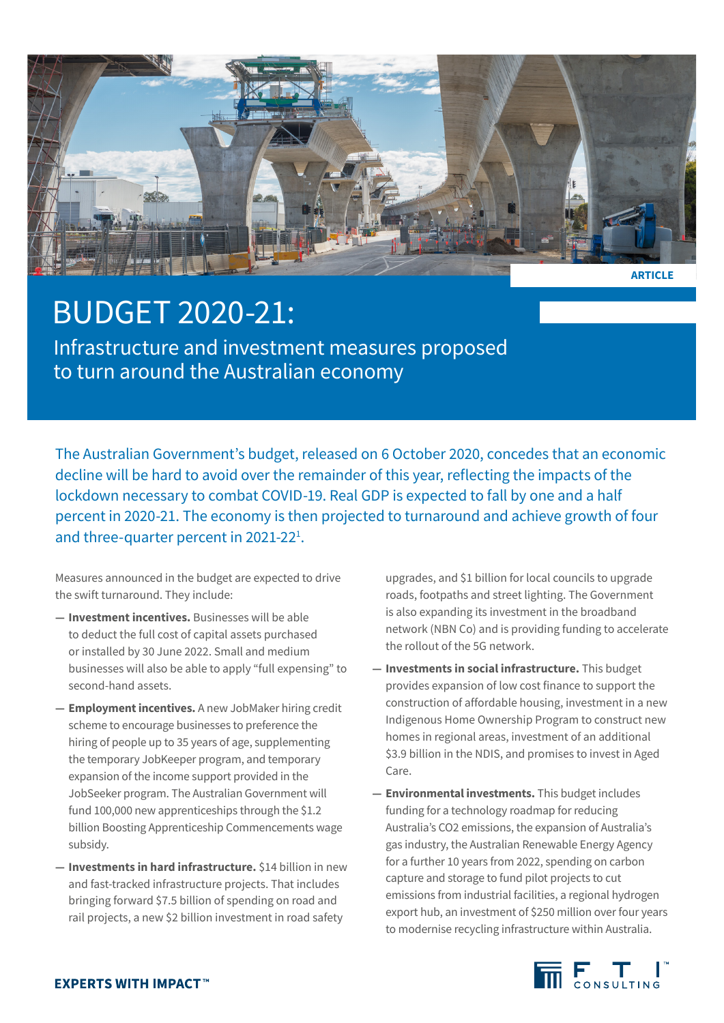

## BUDGET 2020-21:

Infrastructure and investment measures proposed to turn around the Australian economy

The Australian Government's budget, released on 6 October 2020, concedes that an economic decline will be hard to avoid over the remainder of this year, reflecting the impacts of the lockdown necessary to combat COVID-19. Real GDP is expected to fall by one and a half percent in 2020-21. The economy is then projected to turnaround and achieve growth of four and three-quarter percent in 2021-22<sup>1</sup>.

Measures announced in the budget are expected to drive the swift turnaround. They include:

- **— Investment incentives.** Businesses will be able to deduct the full cost of capital assets purchased or installed by 30 June 2022. Small and medium businesses will also be able to apply "full expensing" to second-hand assets.
- **— Employment incentives.** A new JobMaker hiring credit scheme to encourage businesses to preference the hiring of people up to 35 years of age, supplementing the temporary JobKeeper program, and temporary expansion of the income support provided in the JobSeeker program. The Australian Government will fund 100,000 new apprenticeships through the \$1.2 billion Boosting Apprenticeship Commencements wage subsidy.
- **— Investments in hard infrastructure.** \$14 billion in new and fast-tracked infrastructure projects. That includes bringing forward \$7.5 billion of spending on road and rail projects, a new \$2 billion investment in road safety

upgrades, and \$1 billion for local councils to upgrade roads, footpaths and street lighting. The Government is also expanding its investment in the broadband network (NBN Co) and is providing funding to accelerate the rollout of the 5G network.

- **— Investments in social infrastructure.** This budget provides expansion of low cost finance to support the construction of affordable housing, investment in a new Indigenous Home Ownership Program to construct new homes in regional areas, investment of an additional \$3.9 billion in the NDIS, and promises to invest in Aged Care.
- **— Environmental investments.** This budget includes funding for a technology roadmap for reducing Australia's CO2 emissions, the expansion of Australia's gas industry, the Australian Renewable Energy Agency for a further 10 years from 2022, spending on carbon capture and storage to fund pilot projects to cut emissions from industrial facilities, a regional hydrogen export hub, an investment of \$250 million over four years to modernise recycling infrastructure within Australia.